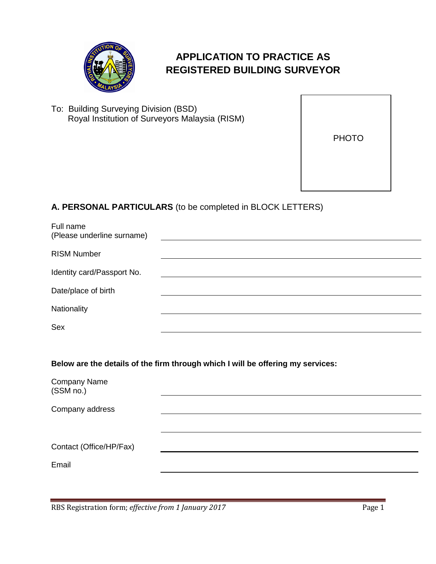

# **APPLICATION TO PRACTICE AS REGISTERED BUILDING SURVEYOR**

To: Building Surveying Division (BSD) Royal Institution of Surveyors Malaysia (RISM)

PHOTO

## **A. PERSONAL PARTICULARS** (to be completed in BLOCK LETTERS)

| Full name<br>(Please underline surname) |  |
|-----------------------------------------|--|
| <b>RISM Number</b>                      |  |
| Identity card/Passport No.              |  |
| Date/place of birth                     |  |
| Nationality                             |  |
| Sex                                     |  |
|                                         |  |

**Below are the details of the firm through which I will be offering my services:**

| Company Name<br>(SSM no.) |  |
|---------------------------|--|
| Company address           |  |
|                           |  |
| Contact (Office/HP/Fax)   |  |
| Email                     |  |
|                           |  |

RBS Registration form; *effective from 1 January 2017* Page 1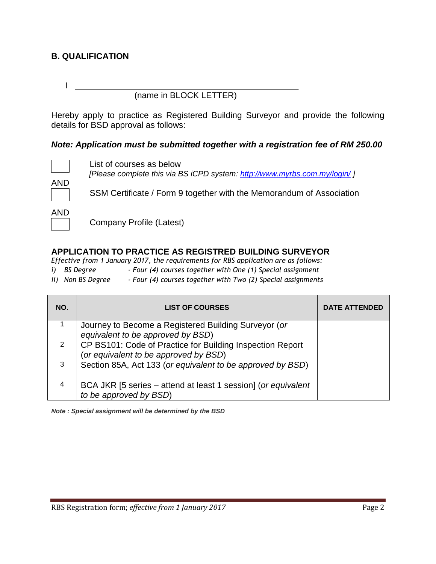## **B. QUALIFICATION**

(name in BLOCK LETTER)

Hereby apply to practice as Registered Building Surveyor and provide the following details for BSD approval as follows:

#### *Note: Application must be submitted together with a registration fee of RM 250.00*



I

List of courses as below *[Please complete this via BS iCPD system:<http://www.myrbs.com.my/login/> ]*

AND

SSM Certificate / Form 9 together with the Memorandum of Association

AND

Company Profile (Latest)

### **APPLICATION TO PRACTICE AS REGISTRED BUILDING SURVEYOR**

*Effective from 1 January 2017, the requirements for RBS application are as follows:*

- *i) BS Degree - Four (4) courses together with One (1) Special assignment*
- *ii) Non BS Degree - Four (4) courses together with Two (2) Special assignments*

| NO. | <b>LIST OF COURSES</b>                                                                             | <b>DATE ATTENDED</b> |
|-----|----------------------------------------------------------------------------------------------------|----------------------|
|     | Journey to Become a Registered Building Surveyor (or<br>equivalent to be approved by BSD)          |                      |
| 2   | CP BS101: Code of Practice for Building Inspection Report<br>(or equivalent to be approved by BSD) |                      |
| 3   | Section 85A, Act 133 (or equivalent to be approved by BSD)                                         |                      |
| 4   | BCA JKR [5 series – attend at least 1 session] (or equivalent<br>to be approved by BSD)            |                      |

*Note : Special assignment will be determined by the BSD*